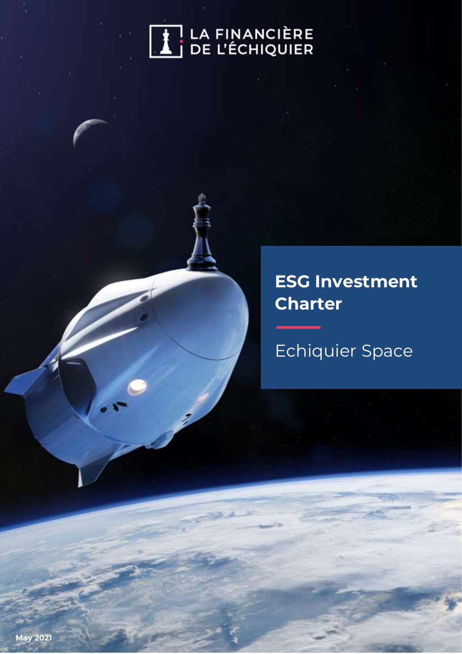

# **ESG Investment Charter**

Echiquier Space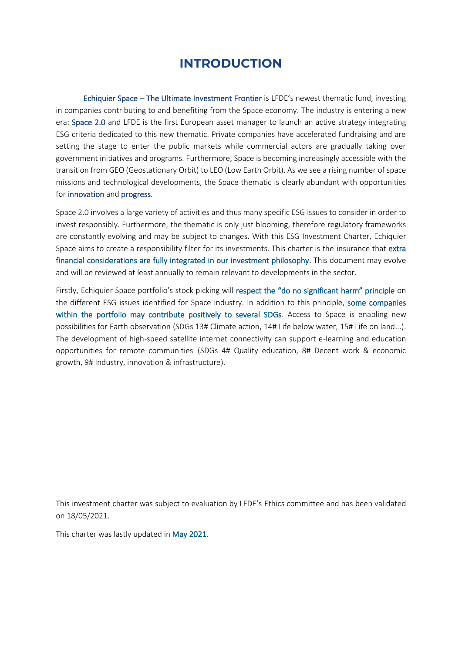# **INTRODUCTION**

Echiquier Space – The Ultimate Investment Frontier is LFDE's newest thematic fund, investing in companies contributing to and benefiting from the Space economy. The industry is entering a new era: Space 2.0 and LFDE is the first European asset manager to launch an active strategy integrating ESG criteria dedicated to this new thematic. Private companies have accelerated fundraising and are setting the stage to enter the public markets while commercial actors are gradually taking over government initiatives and programs. Furthermore, Space is becoming increasingly accessible with the transition from GEO (Geostationary Orbit) to LEO (Low Earth Orbit). As we see a rising number of space missions and technological developments, the Space thematic is clearly abundant with opportunities for innovation and progress.

Space 2.0 involves a large variety of activities and thus many specific ESG issues to consider in order to invest responsibly. Furthermore, the thematic is only just blooming, therefore regulatory frameworks are constantly evolving and may be subject to changes. With this ESG Investment Charter, Echiquier Space aims to create a responsibility filter for its investments. This charter is the insurance that extra financial considerations are fully integrated in our investment philosophy. This document may evolve and will be reviewed at least annually to remain relevant to developments in the sector.

Firstly, Echiquier Space portfolio's stock picking will respect the "do no significant harm" principle on the different ESG issues identified for Space industry. In addition to this principle, some companies within the portfolio may contribute positively to several SDGs. Access to Space is enabling new possibilities for Earth observation (SDGs 13# Climate action, 14# Life below water, 15# Life on land...). The development of high-speed satellite internet connectivity can support e-learning and education opportunities for remote communities (SDGs 4# Quality education, 8# Decent work & economic growth, 9# Industry, innovation & infrastructure).

This investment charter was subject to evaluation by LFDE's Ethics committee and has been validated on 18/05/2021.

This charter was lastly updated in May 2021.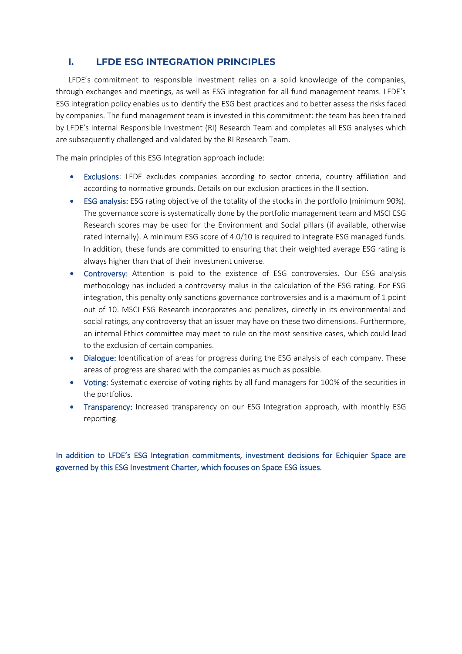# **I. LFDE ESG INTEGRATION PRINCIPLES**

LFDE's commitment to responsible investment relies on a solid knowledge of the companies, through exchanges and meetings, as well as ESG integration for all fund management teams. LFDE's ESG integration policy enables us to identify the ESG best practices and to better assess the risks faced by companies. The fund management team is invested in this commitment: the team has been trained by LFDE's internal Responsible Investment (RI) Research Team and completes all ESG analyses which are subsequently challenged and validated by the RI Research Team.

The main principles of this ESG Integration approach include:

- Exclusions: LFDE excludes companies according to sector criteria, country affiliation and according to normative grounds. Details on our exclusion practices in the II section.
- ESG analysis: ESG rating objective of the totality of the stocks in the portfolio (minimum 90%). The governance score is systematically done by the portfolio management team and MSCI ESG Research scores may be used for the Environment and Social pillars (if available, otherwise rated internally). A minimum ESG score of 4.0/10 is required to integrate ESG managed funds. In addition, these funds are committed to ensuring that their weighted average ESG rating is always higher than that of their investment universe.
- Controversy: Attention is paid to the existence of ESG controversies. Our ESG analysis methodology has included a controversy malus in the calculation of the ESG rating. For ESG integration, this penalty only sanctions governance controversies and is a maximum of 1 point out of 10. MSCI ESG Research incorporates and penalizes, directly in its environmental and social ratings, any controversy that an issuer may have on these two dimensions. Furthermore, an internal Ethics committee may meet to rule on the most sensitive cases, which could lead to the exclusion of certain companies.
- Dialogue: Identification of areas for progress during the ESG analysis of each company. These areas of progress are shared with the companies as much as possible.
- Voting: Systematic exercise of voting rights by all fund managers for 100% of the securities in the portfolios.
- Transparency: Increased transparency on our ESG Integration approach, with monthly ESG reporting.

In addition to LFDE's ESG Integration commitments, investment decisions for Echiquier Space are governed by this ESG Investment Charter, which focuses on Space ESG issues.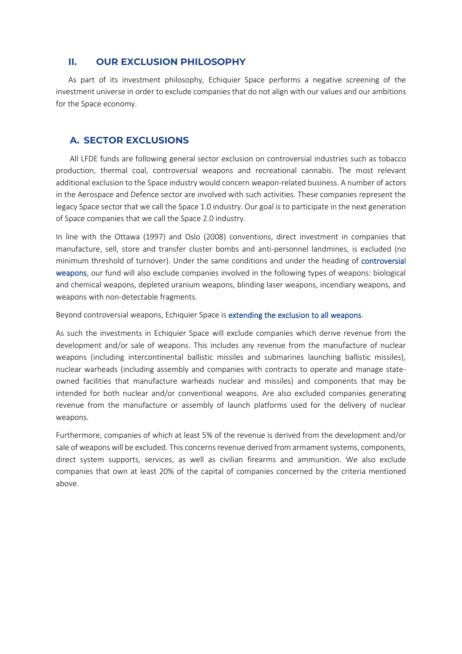### **II. OUR EXCLUSION PHILOSOPHY**

As part of its investment philosophy, Echiquier Space performs a negative screening of the investment universe in order to exclude companies that do not align with our values and our ambitions for the Space economy.

#### **A. SECTOR EXCLUSIONS**

All LFDE funds are following general sector exclusion on controversial industries such as tobacco production, thermal coal, controversial weapons and recreational cannabis. The most relevant additional exclusion to the Space industry would concern weapon-related business. A number of actors in the Aerospace and Defence sector are involved with such activities. These companies represent the legacy Space sector that we call the Space 1.0 industry. Our goal is to participate in the next generation of Space companies that we call the Space 2.0 industry.

In line with the Ottawa (1997) and Oslo (2008) conventions, direct investment in companies that manufacture, sell, store and transfer cluster bombs and anti-personnel landmines, is excluded (no minimum threshold of turnover). Under the same conditions and under the heading of controversial weapons, our fund will also exclude companies involved in the following types of weapons: biological and chemical weapons, depleted uranium weapons, blinding laser weapons, incendiary weapons, and weapons with non-detectable fragments.

Beyond controversial weapons, Echiquier Space is extending the exclusion to all weapons.

As such the investments in Echiquier Space will exclude companies which derive revenue from the development and/or sale of weapons. This includes any revenue from the manufacture of nuclear weapons (including intercontinental ballistic missiles and submarines launching ballistic missiles), nuclear warheads (including assembly and companies with contracts to operate and manage stateowned facilities that manufacture warheads nuclear and missiles) and components that may be intended for both nuclear and/or conventional weapons. Are also excluded companies generating revenue from the manufacture or assembly of launch platforms used for the delivery of nuclear weapons.

Furthermore, companies of which at least 5% of the revenue is derived from the development and/or sale of weapons will be excluded. This concerns revenue derived from armament systems, components, direct system supports, services, as well as civilian firearms and ammunition. We also exclude companies that own at least 20% of the capital of companies concerned by the criteria mentioned above.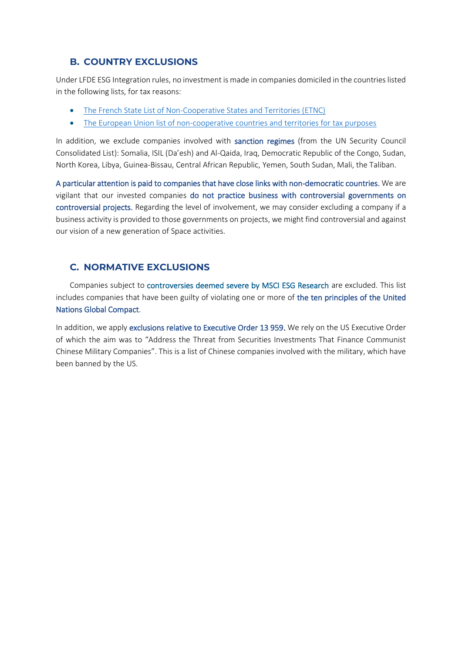# **B. COUNTRY EXCLUSIONS**

Under LFDE ESG Integration rules, no investment is made in companies domiciled in the countries listed in the following lists, for tax reasons:

- [The French State List of Non-Cooperative States and Territories \(ETNC\)](https://www.legifrance.gouv.fr/loda/id/JORFTEXT000032378061/)
- [The European Union list of non-cooperative countries and territories for tax purposes](https://www.consilium.europa.eu/fr/policies/eu-list-of-non-cooperative-jurisdictions/)

In addition, we exclude companies involved with sanction regimes (from the UN Security Council Consolidated List): Somalia, ISIL (Da'esh) and Al-Qaida, Iraq, Democratic Republic of the Congo, Sudan, North Korea, Libya, Guinea-Bissau, Central African Republic, Yemen, South Sudan, Mali, the Taliban.

A particular attention is paid to companies that have close links with non-democratic countries. We are vigilant that our invested companies do not practice business with controversial governments on controversial projects. Regarding the level of involvement, we may consider excluding a company if a business activity is provided to those governments on projects, we might find controversial and against our vision of a new generation of Space activities.

# **C. NORMATIVE EXCLUSIONS**

Companies subject to controversies deemed severe by MSCI ESG Research are excluded. This list includes companies that have been guilty of violating one or more of the ten principles of the United Nations Global Compact.

In addition, we apply exclusions relative to Executive Order 13 959. We rely on the US Executive Order of which the aim was to "Address the Threat from Securities Investments That Finance Communist Chinese Military Companies". This is a list of Chinese companies involved with the military, which have been banned by the US.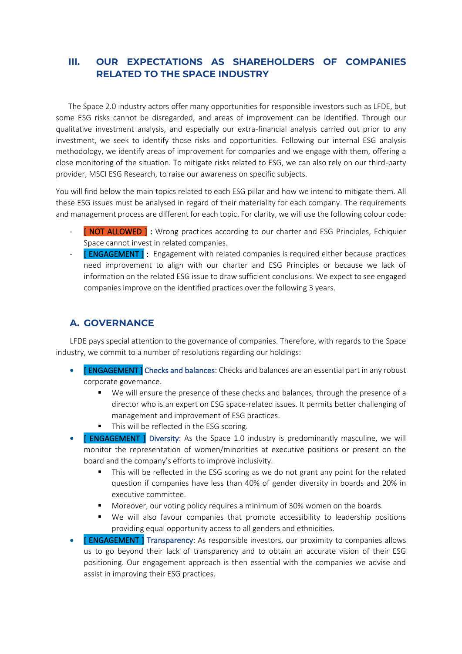# **III. OUR EXPECTATIONS AS SHAREHOLDERS OF COMPANIES RELATED TO THE SPACE INDUSTRY**

The Space 2.0 industry actors offer many opportunities for responsible investors such as LFDE, but some ESG risks cannot be disregarded, and areas of improvement can be identified. Through our qualitative investment analysis, and especially our extra-financial analysis carried out prior to any investment, we seek to identify those risks and opportunities. Following our internal ESG analysis methodology, we identify areas of improvement for companies and we engage with them, offering a close monitoring of the situation. To mitigate risks related to ESG, we can also rely on our third-party provider, MSCI ESG Research, to raise our awareness on specific subjects.

You will find below the main topics related to each ESG pillar and how we intend to mitigate them. All these ESG issues must be analysed in regard of their materiality for each company. The requirements and management process are different for each topic. For clarity, we will use the following colour code:

- [ NOT ALLOWED ] : Wrong practices according to our charter and ESG Principles, Echiquier Space cannot invest in related companies.
- **[ENGAGEMENT]** : Engagement with related companies is required either because practices need improvement to align with our charter and ESG Principles or because we lack of information on the related ESG issue to draw sufficient conclusions. We expect to see engaged companies improve on the identified practices over the following 3 years.

# **A. GOVERNANCE**

LFDE pays special attention to the governance of companies. Therefore, with regards to the Space industry, we commit to a number of resolutions regarding our holdings:

- **[ENGAGEMENT]** Checks and balances: Checks and balances are an essential part in any robust corporate governance.
	- We will ensure the presence of these checks and balances, through the presence of a director who is an expert on ESG space-related issues. It permits better challenging of management and improvement of ESG practices.
	- This will be reflected in the ESG scoring.
- **[ ENGAGEMENT ]** Diversity: As the Space 1.0 industry is predominantly masculine, we will monitor the representation of women/minorities at executive positions or present on the board and the company's efforts to improve inclusivity.
	- This will be reflected in the ESG scoring as we do not grant any point for the related question if companies have less than 40% of gender diversity in boards and 20% in executive committee.
	- Moreover, our voting policy requires a minimum of 30% women on the boards.
	- We will also favour companies that promote accessibility to leadership positions providing equal opportunity access to all genders and ethnicities.
- **[ENGAGEMENT ]** Transparency: As responsible investors, our proximity to companies allows us to go beyond their lack of transparency and to obtain an accurate vision of their ESG positioning. Our engagement approach is then essential with the companies we advise and assist in improving their ESG practices.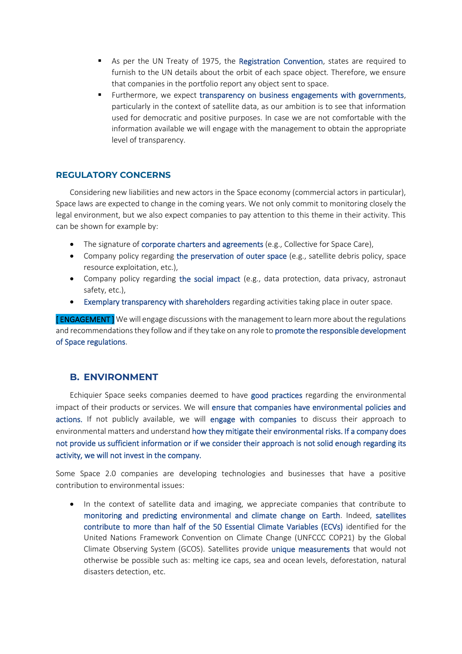- As per the UN Treaty of 1975, the Registration Convention, states are required to furnish to the UN details about the orbit of each space object. Therefore, we ensure that companies in the portfolio report any object sent to space.
- Furthermore, we expect transparency on business engagements with governments, particularly in the context of satellite data, as our ambition is to see that information used for democratic and positive purposes. In case we are not comfortable with the information available we will engage with the management to obtain the appropriate level of transparency.

#### **REGULATORY CONCERNS**

Considering new liabilities and new actors in the Space economy (commercial actors in particular), Space laws are expected to change in the coming years. We not only commit to monitoring closely the legal environment, but we also expect companies to pay attention to this theme in their activity. This can be shown for example by:

- The signature of corporate charters and agreements (e.g., Collective for Space Care),
- Company policy regarding the preservation of outer space (e.g., satellite debris policy, space resource exploitation, etc.),
- Company policy regarding the social impact (e.g., data protection, data privacy, astronaut safety, etc.),
- Exemplary transparency with shareholders regarding activities taking place in outer space.

**[ENGAGEMENT]** We will engage discussions with the management to learn more about the regulations and recommendations they follow and if they take on any role to promote the responsible development of Space regulations.

#### **B. ENVIRONMENT**

Echiquier Space seeks companies deemed to have good practices regarding the environmental impact of their products or services. We will ensure that companies have environmental policies and actions. If not publicly available, we will engage with companies to discuss their approach to environmental matters and understand how they mitigate their environmental risks. If a company does not provide us sufficient information or if we consider their approach is not solid enough regarding its activity, we will not invest in the company.

Some Space 2.0 companies are developing technologies and businesses that have a positive contribution to environmental issues:

In the context of satellite data and imaging, we appreciate companies that contribute to monitoring and predicting environmental and climate change on Earth. Indeed, satellites contribute to more than half of the 50 Essential Climate Variables (ECVs) identified for the United Nations Framework Convention on Climate Change (UNFCCC COP21) by the Global Climate Observing System (GCOS). Satellites provide unique measurements that would not otherwise be possible such as: melting ice caps, sea and ocean levels, deforestation, natural disasters detection, etc.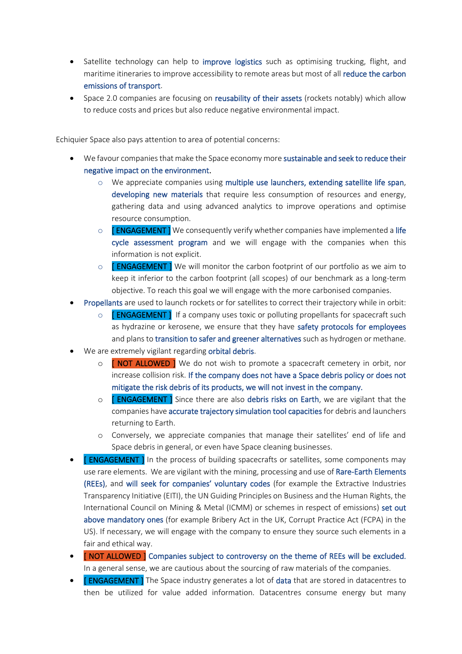- Satellite technology can help to improve logistics such as optimising trucking, flight, and maritime itineraries to improve accessibility to remote areas but most of all reduce the carbon emissions of transport.
- Space 2.0 companies are focusing on reusability of their assets (rockets notably) which allow to reduce costs and prices but also reduce negative environmental impact.

Echiquier Space also pays attention to area of potential concerns:

- We favour companies that make the Space economy more sustainable and seek to reduce their negative impact on the environment.
	- $\circ$  We appreciate companies using multiple use launchers, extending satellite life span, developing new materials that require less consumption of resources and energy, gathering data and using advanced analytics to improve operations and optimise resource consumption.
	- $\circ$  [ ENGAGEMENT ] We consequently verify whether companies have implemented a life cycle assessment program and we will engage with the companies when this information is not explicit.
	- $\circ$  [ ENGAGEMENT ] We will monitor the carbon footprint of our portfolio as we aim to keep it inferior to the carbon footprint (all scopes) of our benchmark as a long-term objective. To reach this goal we will engage with the more carbonised companies.
- Propellants are used to launch rockets or for satellites to correct their trajectory while in orbit:
	- o **[ENGAGEMENT]** If a company uses toxic or polluting propellants for spacecraft such as hydrazine or kerosene, we ensure that they have safety protocols for employees and plans to transition to safer and greener alternatives such as hydrogen or methane.
- We are extremely vigilant regarding orbital debris.
	- o **[ NOT ALLOWED** ] We do not wish to promote a spacecraft cemetery in orbit, nor increase collision risk. If the company does not have a Space debris policy or does not mitigate the risk debris of its products, we will not invest in the company.
	- o **[ENGAGEMENT]** Since there are also debris risks on Earth, we are vigilant that the companies have accurate trajectory simulation tool capacities for debris and launchers returning to Earth.
	- o Conversely, we appreciate companies that manage their satellites' end of life and Space debris in general, or even have Space cleaning businesses.
- **[ENGAGEMENT]** In the process of building spacecrafts or satellites, some components may use rare elements. We are vigilant with the mining, processing and use of Rare-Earth Elements (REEs), and will seek for companies' voluntary codes (for example the Extractive Industries Transparency Initiative (EITI), the UN Guiding Principles on Business and the Human Rights, the International Council on Mining & Metal (ICMM) or schemes in respect of emissions) set out above mandatory ones (for example Bribery Act in the UK, Corrupt Practice Act (FCPA) in the US). If necessary, we will engage with the company to ensure they source such elements in a fair and ethical way.
- **[NOT ALLOWED ]** Companies subject to controversy on the theme of REEs will be excluded. In a general sense, we are cautious about the sourcing of raw materials of the companies.
- **[ENGAGEMENT]** The Space industry generates a lot of data that are stored in datacentres to then be utilized for value added information. Datacentres consume energy but many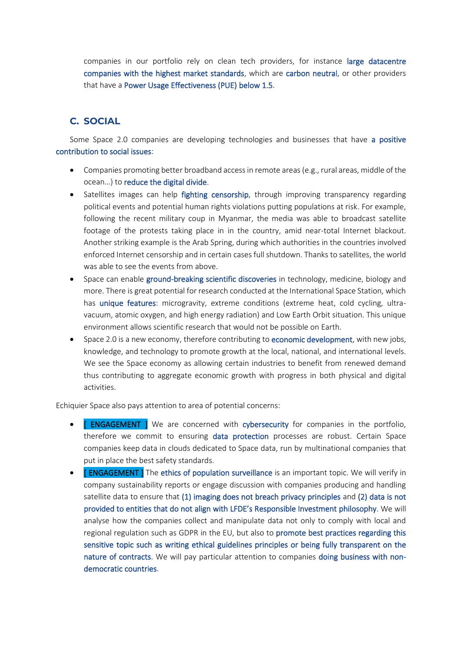companies in our portfolio rely on clean tech providers, for instance large datacentre companies with the highest market standards, which are carbon neutral, or other providers that have a Power Usage Effectiveness (PUE) below 1.5.

#### **C. SOCIAL**

Some Space 2.0 companies are developing technologies and businesses that have a positive contribution to social issues:

- Companies promoting better broadband access in remote areas (e.g., rural areas, middle of the ocean…) to reduce the digital divide.
- Satellites images can help fighting censorship, through improving transparency regarding political events and potential human rights violations putting populations at risk. For example, following the recent military coup in Myanmar, the media was able to broadcast satellite footage of the protests taking place in in the country, amid near-total Internet blackout. Another striking example is the Arab Spring, during which authorities in the countries involved enforced Internet censorship and in certain cases full shutdown. Thanks to satellites, the world was able to see the events from above.
- Space can enable ground-breaking scientific discoveries in technology, medicine, biology and more. There is great potential for research conducted at the International Space Station, which has unique features: microgravity, extreme conditions (extreme heat, cold cycling, ultravacuum, atomic oxygen, and high energy radiation) and Low Earth Orbit situation. This unique environment allows scientific research that would not be possible on Earth.
- Space 2.0 is a new economy, therefore contributing to economic development, with new jobs, knowledge, and technology to promote growth at the local, national, and international levels. We see the Space economy as allowing certain industries to benefit from renewed demand thus contributing to aggregate economic growth with progress in both physical and digital activities.

Echiquier Space also pays attention to area of potential concerns:

- **[ENGAGEMENT ]** We are concerned with cybersecurity for companies in the portfolio, therefore we commit to ensuring data protection processes are robust. Certain Space companies keep data in clouds dedicated to Space data, run by multinational companies that put in place the best safety standards.
- **[ENGAGEMENT]** The ethics of population surveillance is an important topic. We will verify in company sustainability reports or engage discussion with companies producing and handling satellite data to ensure that (1) imaging does not breach privacy principles and (2) data is not provided to entities that do not align with LFDE's Responsible Investment philosophy. We will analyse how the companies collect and manipulate data not only to comply with local and regional regulation such as GDPR in the EU, but also to promote best practices regarding this sensitive topic such as writing ethical guidelines principles or being fully transparent on the nature of contracts. We will pay particular attention to companies doing business with nondemocratic countries.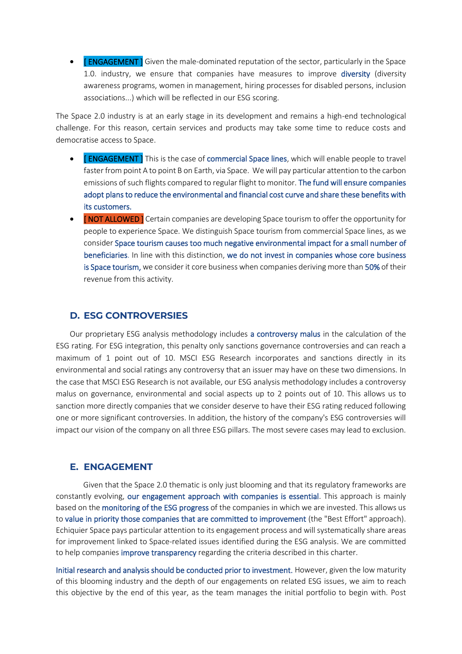• **[ENGAGEMENT ]** Given the male-dominated reputation of the sector, particularly in the Space 1.0. industry, we ensure that companies have measures to improve diversity (diversity awareness programs, women in management, hiring processes for disabled persons, inclusion associations...) which will be reflected in our ESG scoring.

The Space 2.0 industry is at an early stage in its development and remains a high-end technological challenge. For this reason, certain services and products may take some time to reduce costs and democratise access to Space.

- **[ENGAGEMENT]** This is the case of commercial Space lines, which will enable people to travel faster from point A to point B on Earth, via Space. We will pay particular attention to the carbon emissions of such flights compared to regular flight to monitor. The fund will ensure companies adopt plans to reduce the environmental and financial cost curve and share these benefits with its customers.
- **[NOT ALLOWED]** Certain companies are developing Space tourism to offer the opportunity for people to experience Space. We distinguish Space tourism from commercial Space lines, as we consider Space tourism causes too much negative environmental impact for a small number of beneficiaries. In line with this distinction, we do not invest in companies whose core business is Space tourism, we consider it core business when companies deriving more than 50% of their revenue from this activity.

#### **D. ESG CONTROVERSIES**

Our proprietary ESG analysis methodology includes a controversy malus in the calculation of the ESG rating. For ESG integration, this penalty only sanctions governance controversies and can reach a maximum of 1 point out of 10. MSCI ESG Research incorporates and sanctions directly in its environmental and social ratings any controversy that an issuer may have on these two dimensions. In the case that MSCI ESG Research is not available, our ESG analysis methodology includes a controversy malus on governance, environmental and social aspects up to 2 points out of 10. This allows us to sanction more directly companies that we consider deserve to have their ESG rating reduced following one or more significant controversies. In addition, the history of the company's ESG controversies will impact our vision of the company on all three ESG pillars. The most severe cases may lead to exclusion.

#### **E. ENGAGEMENT**

Given that the Space 2.0 thematic is only just blooming and that its regulatory frameworks are constantly evolving, our engagement approach with companies is essential. This approach is mainly based on the monitoring of the ESG progress of the companies in which we are invested. This allows us to value in priority those companies that are committed to improvement (the "Best Effort" approach). Echiquier Space pays particular attention to its engagement process and will systematically share areas for improvement linked to Space-related issues identified during the ESG analysis. We are committed to help companies improve transparency regarding the criteria described in this charter.

Initial research and analysis should be conducted prior to investment. However, given the low maturity of this blooming industry and the depth of our engagements on related ESG issues, we aim to reach this objective by the end of this year, as the team manages the initial portfolio to begin with. Post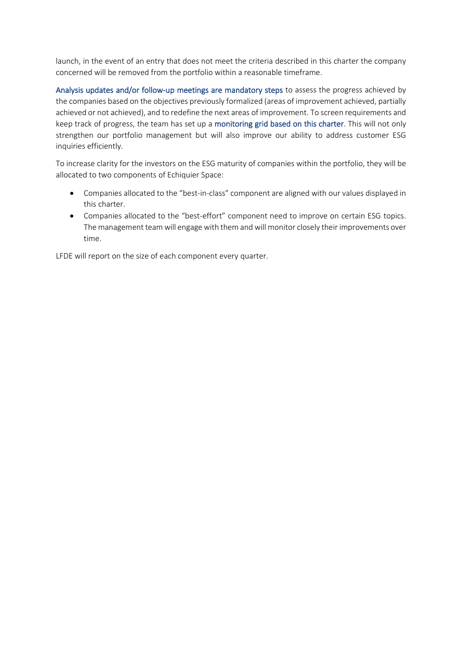launch, in the event of an entry that does not meet the criteria described in this charter the company concerned will be removed from the portfolio within a reasonable timeframe.

Analysis updates and/or follow-up meetings are mandatory steps to assess the progress achieved by the companies based on the objectives previously formalized (areas of improvement achieved, partially achieved or not achieved), and to redefine the next areas of improvement. To screen requirements and keep track of progress, the team has set up a monitoring grid based on this charter. This will not only strengthen our portfolio management but will also improve our ability to address customer ESG inquiries efficiently.

To increase clarity for the investors on the ESG maturity of companies within the portfolio, they will be allocated to two components of Echiquier Space:

- Companies allocated to the "best-in-class" component are aligned with our values displayed in this charter.
- Companies allocated to the "best-effort" component need to improve on certain ESG topics. The management team will engage with them and will monitor closely their improvements over time.

LFDE will report on the size of each component every quarter.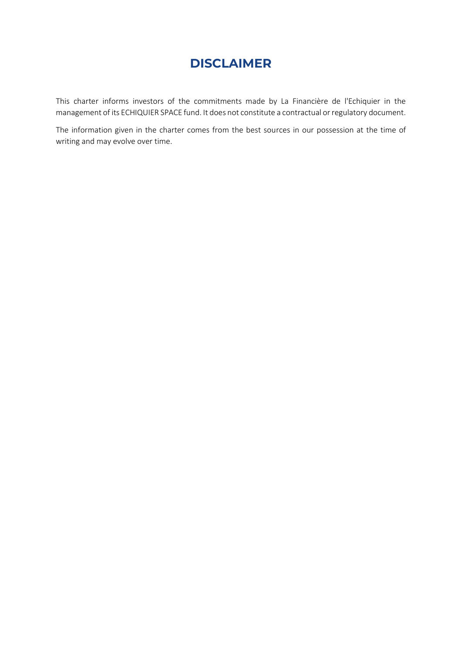# **DISCLAIMER**

This charter informs investors of the commitments made by La Financière de l'Echiquier in the management of its ECHIQUIER SPACE fund. It does not constitute a contractual or regulatory document.

The information given in the charter comes from the best sources in our possession at the time of writing and may evolve over time.